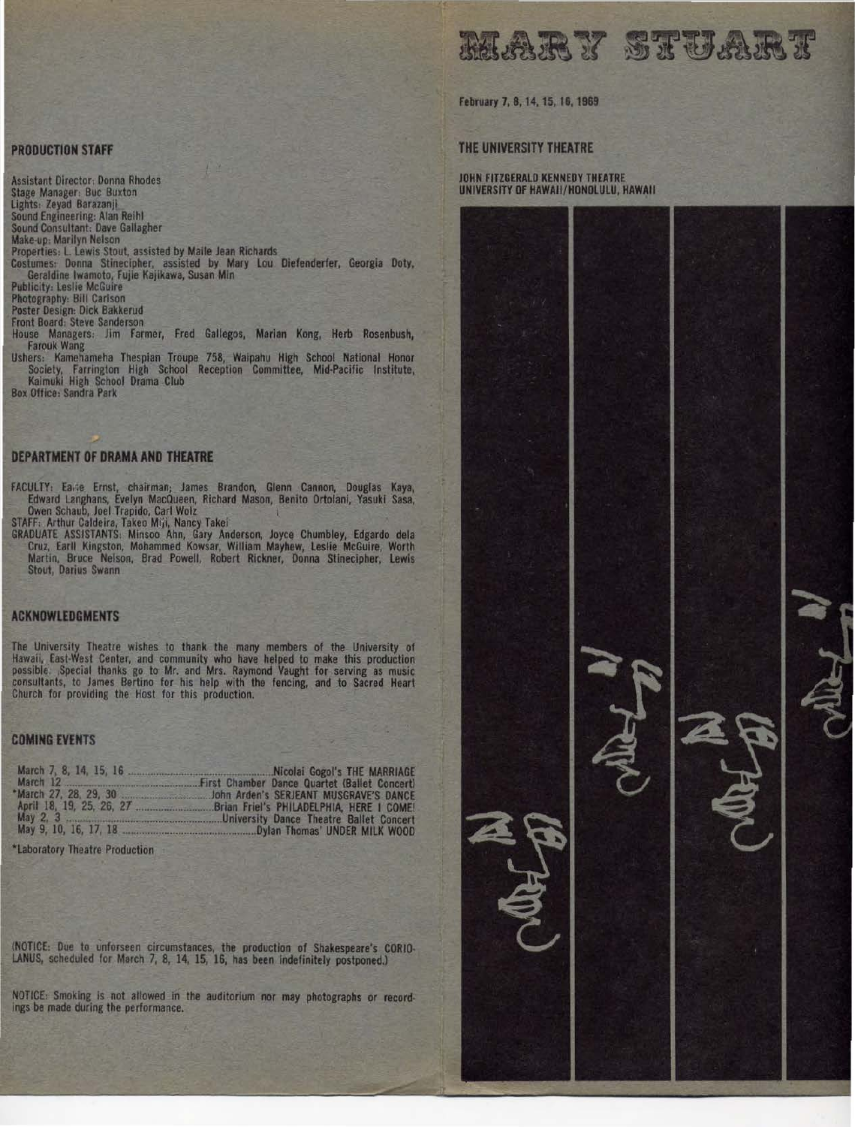PRODUCTION STAff

Assistant Director: Donna Rhodes Stage Manager: Buc Buxton Lights: Zeyad Barazanji Sound Engineering: Alan Reihl Sound Consultant: Dave Gallagher Make-up: Marilyn Nelson Properties: L Lewis Stout, assisted by Maile Jean Richards

Costumes: Donna Stinecipher, assisted by Mary Lou Diefenderfer, Georgia Doty, Geraldine Iwamoto, Fujle Kajikawa, Susan Min

Publicity: Leslie McGuire

Photography: Bill Carlson

Paster Design: Dick Bakkerud

Front Board: Steve Sanderson House Managers: Jim Farmer, Fred Gallegos, Marian Kong, Herb Rosenbush, Farouk Wang

Ushers: Kamehameha Thespian Troupe 758, Waipahu High School National Honor Society, Farrington High School Reception Committee, Mid-Pacific Institute,<br>Kalmuki High School Drama Club Box Office: Sandra Park

### DEPARTMENT Of DRAMA AND THEATRE

FACULTY: Earte Ernst, chairman; James Brandon, Glenn Cannon, Douglas Kaya, Edward Langhans, Evelyn MacQueen, Richard Mason, Benito Ortolani, Yasuki Sasa, Owen Schaub, Joel Trapido, Carl Wolz<br>STAFF: Arthur Caldeira, Takeo Miji, Nancy Takei<br>GRADUATE ASSISTANTS: Minsoo Ahn, Gary Anderson, Joyce Chumbley, Edgardo dela

Cruz, Earll Kingston, Mohammed Kowsar, William Mayhew, Leslie McGuire, Worth Martin, Bruce Nelson, Brad Powell, Robert Rickner, Donna Stinecipher, Lewis Stout, Darius Swann

#### ACKNOWLED8MEHTS

The University Theatre wishes to thank the many members of the University of<br>Hawaii, East-West Center, and community who have helped to make this production possible. Special thanks go to Mr. and Mrs. Raymond Vaught for serving as music consultants, to James Bertino for his help with the fencing, and to Sacred Heart Church for providing the Host for this production.

### COMING EVENTS

March 7, 8, 14, 15, 16 .................................................... Nicolai Gogol's THE MARRIAG£ March 12 .................................. - .......... .First Chamber Dtnce Quartet (Ballet Concert) •March 27, 28, 29, 30 ............................... John Arden's SERJEANT MUSGRAVE'S DANCE April 18, 19, 25, 26, 27 ............................ Brian Friel's PHILAD£LPHIA, HERE I COME! May 2, 3 ........................................................ University Dance Theatre Ballet Concert May 9, 10, 16, 17, 18 ................................................ Dylan Thomas' UNDER MILK WOOD

•Laboratory Theatre Production

(NOTICE: Due to unforseen circumstances, the production of Shakespeare's CORIO-LANUS, scheduled for March 7, 8, 14, 15, 16, has been indefinitely postponed.)

NOTICE: Smoking is not allowed in the auditorium nor may photographs or recordings be made during the performance.

February 7, 8, 14, 15, 16, 1969

## THE UNIVERSITY THEATRE

JOHN FITZGERALD KENNEDY THEATRE UNIVERSITY OF HAWAII/HONOLULU, HAWAII

MARY STUAR